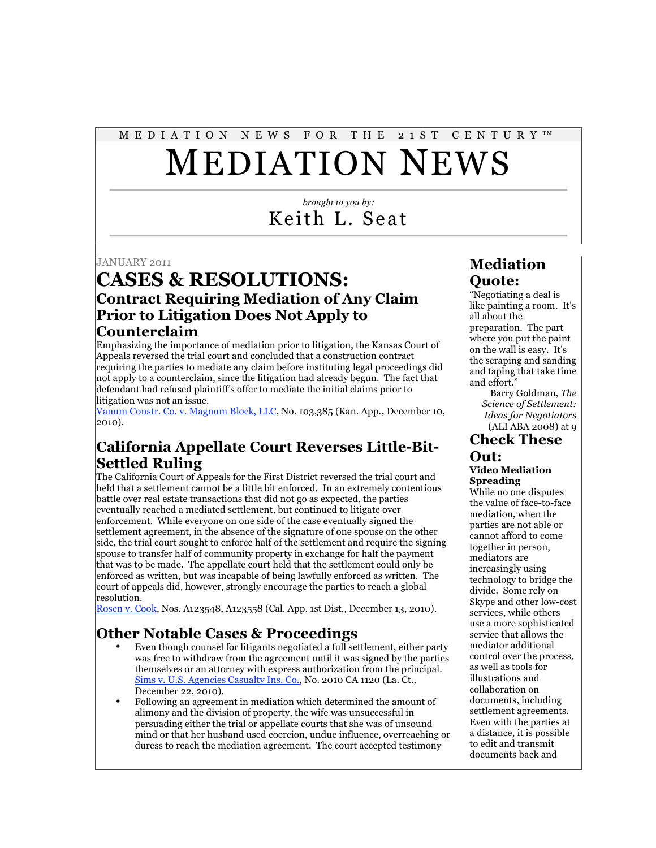# M E D I A T I O N N E W S F O R T H E 2 1 S T C E N T U R Y ™ MEDIATION NEWS

*brought to you by:* Keith L. Seat

JANUARY 2011

# **CASES & RESOLUTIONS: Contract Requiring Mediation of Any Claim Prior to Litigation Does Not Apply to Counterclaim**

Emphasizing the importance of mediation prior to litigation, the Kansas Court of Appeals reversed the trial court and concluded that a construction contract requiring the parties to mediate any claim before instituting legal proceedings did not apply to a counterclaim, since the litigation had already begun. The fact that defendant had refused plaintiff's offer to mediate the initial claims prior to litigation was not an issue.

Vanum Constr. Co. v. Magnum Block, LLC, No. 103,385 (Kan. App.**,** December 10, 2010).

# **California Appellate Court Reverses Little-Bit-Settled Ruling**

The California Court of Appeals for the First District reversed the trial court and held that a settlement cannot be a little bit enforced. In an extremely contentious battle over real estate transactions that did not go as expected, the parties eventually reached a mediated settlement, but continued to litigate over enforcement. While everyone on one side of the case eventually signed the settlement agreement, in the absence of the signature of one spouse on the other side, the trial court sought to enforce half of the settlement and require the signing spouse to transfer half of community property in exchange for half the payment that was to be made. The appellate court held that the settlement could only be enforced as written, but was incapable of being lawfully enforced as written. The court of appeals did, however, strongly encourage the parties to reach a global resolution.

Rosen v. Cook, Nos. A123548, A123558 (Cal. App. 1st Dist., December 13, 2010).

#### **Other Notable Cases & Proceedings**

- Even though counsel for litigants negotiated a full settlement, either party was free to withdraw from the agreement until it was signed by the parties themselves or an attorney with express authorization from the principal. Sims v. U.S. Agencies Casualty Ins. Co., No. 2010 CA 1120 (La. Ct., December 22, 2010).
- Following an agreement in mediation which determined the amount of alimony and the division of property, the wife was unsuccessful in persuading either the trial or appellate courts that she was of unsound mind or that her husband used coercion, undue influence, overreaching or duress to reach the mediation agreement. The court accepted testimony

# **Mediation Quote:**

"Negotiating a deal is like painting a room. It's all about the preparation. The part where you put the paint on the wall is easy. It's the scraping and sanding and taping that take time and effort."

Barry Goldman, *The Science of Settlement: Ideas for Negotiators* (ALI ABA 2008) at 9

#### **Check These Out:**

#### **Video Mediation Spreading**

While no one disputes the value of face-to-face mediation, when the parties are not able or cannot afford to come together in person, mediators are increasingly using technology to bridge the divide. Some rely on Skype and other low-cost services, while others use a more sophisticated service that allows the mediator additional control over the process, as well as tools for illustrations and collaboration on documents, including settlement agreements. Even with the parties at a distance, it is possible to edit and transmit documents back and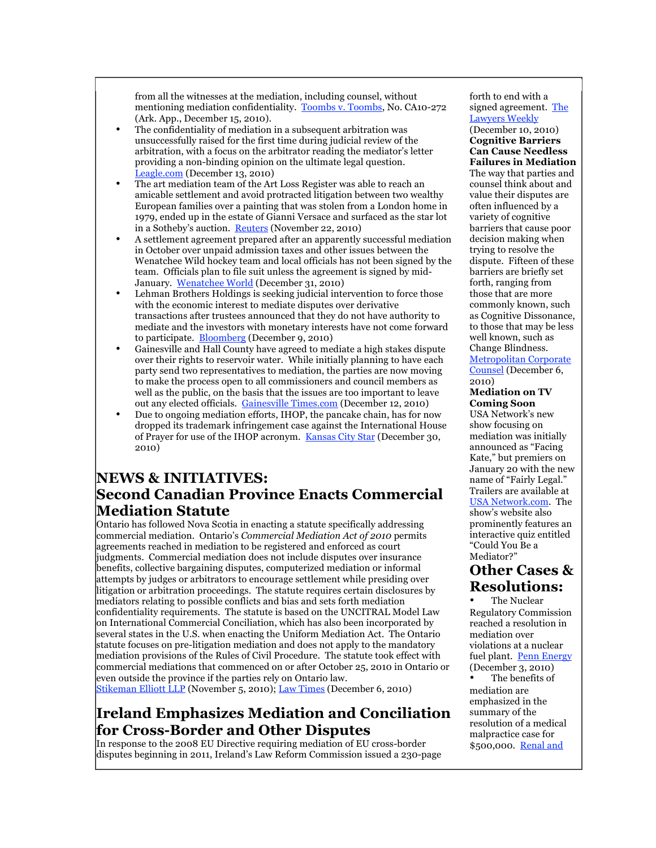from all the witnesses at the mediation, including counsel, without mentioning mediation confidentiality. Toombs v. Toombs, No. CA10-272 (Ark. App., December 15, 2010).

- The confidentiality of mediation in a subsequent arbitration was unsuccessfully raised for the first time during judicial review of the arbitration, with a focus on the arbitrator reading the mediator's letter providing a non-binding opinion on the ultimate legal question. Leagle.com (December 13, 2010)
- The art mediation team of the Art Loss Register was able to reach an amicable settlement and avoid protracted litigation between two wealthy European families over a painting that was stolen from a London home in 1979, ended up in the estate of Gianni Versace and surfaced as the star lot in a Sotheby's auction. Reuters (November 22, 2010)
- A settlement agreement prepared after an apparently successful mediation in October over unpaid admission taxes and other issues between the Wenatchee Wild hockey team and local officials has not been signed by the team. Officials plan to file suit unless the agreement is signed by mid-January. Wenatchee World (December 31, 2010)
- Lehman Brothers Holdings is seeking judicial intervention to force those with the economic interest to mediate disputes over derivative transactions after trustees announced that they do not have authority to mediate and the investors with monetary interests have not come forward to participate. Bloomberg (December 9, 2010)
- Gainesville and Hall County have agreed to mediate a high stakes dispute over their rights to reservoir water. While initially planning to have each party send two representatives to mediation, the parties are now moving to make the process open to all commissioners and council members as well as the public, on the basis that the issues are too important to leave out any elected officials. Gainesville Times.com (December 12, 2010)
- Due to ongoing mediation efforts, IHOP, the pancake chain, has for now dropped its trademark infringement case against the International House of Prayer for use of the IHOP acronym. Kansas City Star (December 30, 2010)

#### **NEWS & INITIATIVES: Second Canadian Province Enacts Commercial Mediation Statute**

Ontario has followed Nova Scotia in enacting a statute specifically addressing commercial mediation. Ontario's *Commercial Mediation Act of 2010* permits agreements reached in mediation to be registered and enforced as court judgments. Commercial mediation does not include disputes over insurance benefits, collective bargaining disputes, computerized mediation or informal attempts by judges or arbitrators to encourage settlement while presiding over litigation or arbitration proceedings. The statute requires certain disclosures by mediators relating to possible conflicts and bias and sets forth mediation confidentiality requirements. The statute is based on the UNCITRAL Model Law on International Commercial Conciliation, which has also been incorporated by several states in the U.S. when enacting the Uniform Mediation Act. The Ontario statute focuses on pre-litigation mediation and does not apply to the mandatory mediation provisions of the Rules of Civil Procedure. The statute took effect with commercial mediations that commenced on or after October 25, 2010 in Ontario or even outside the province if the parties rely on Ontario law.

Stikeman Elliott LLP (November 5, 2010); Law Times (December 6, 2010)

# **Ireland Emphasizes Mediation and Conciliation for Cross-Border and Other Disputes**

In response to the 2008 EU Directive requiring mediation of EU cross-border disputes beginning in 2011, Ireland's Law Reform Commission issued a 230-page

forth to end with a signed agreement. The Lawyers Weekly (December 10, 2010) **Cognitive Barriers Can Cause Needless Failures in Mediation** The way that parties and counsel think about and value their disputes are often influenced by a variety of cognitive barriers that cause poor decision making when trying to resolve the dispute. Fifteen of these barriers are briefly set forth, ranging from those that are more commonly known, such as Cognitive Dissonance, to those that may be less well known, such as Change Blindness.

Metropolitan Corporate Counsel (December 6, 2010)

#### **Mediation on TV Coming Soon**

USA Network's new show focusing on mediation was initially announced as "Facing Kate," but premiers on January 20 with the new name of "Fairly Legal." Trailers are available at USA Network.com. The show's website also prominently features an interactive quiz entitled "Could You Be a Mediator?"

# **Other Cases & Resolutions:**

The Nuclear Regulatory Commission reached a resolution in mediation over violations at a nuclear fuel plant. Penn Energy (December 3, 2010)

The benefits of mediation are emphasized in the summary of the resolution of a medical malpractice case for \$500,000. Renal and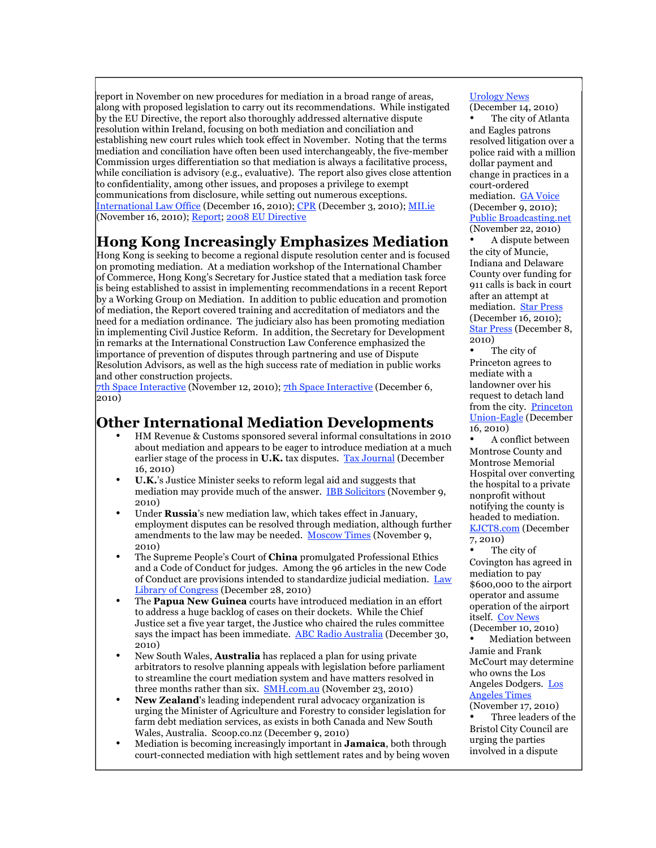report in November on new procedures for mediation in a broad range of areas, along with proposed legislation to carry out its recommendations. While instigated by the EU Directive, the report also thoroughly addressed alternative dispute resolution within Ireland, focusing on both mediation and conciliation and establishing new court rules which took effect in November. Noting that the terms mediation and conciliation have often been used interchangeably, the five-member Commission urges differentiation so that mediation is always a facilitative process, while conciliation is advisory (e.g., evaluative). The report also gives close attention to confidentiality, among other issues, and proposes a privilege to exempt communications from disclosure, while setting out numerous exceptions. International Law Office (December 16, 2010); CPR (December 3, 2010); MILie (November 16, 2010); Report; 2008 EU Directive

# **Hong Kong Increasingly Emphasizes Mediation**

Hong Kong is seeking to become a regional dispute resolution center and is focused on promoting mediation. At a mediation workshop of the International Chamber of Commerce, Hong Kong's Secretary for Justice stated that a mediation task force is being established to assist in implementing recommendations in a recent Report by a Working Group on Mediation. In addition to public education and promotion of mediation, the Report covered training and accreditation of mediators and the need for a mediation ordinance. The judiciary also has been promoting mediation in implementing Civil Justice Reform. In addition, the Secretary for Development in remarks at the International Construction Law Conference emphasized the importance of prevention of disputes through partnering and use of Dispute Resolution Advisors, as well as the high success rate of mediation in public works and other construction projects.

7th Space Interactive (November 12, 2010); 7th Space Interactive (December 6, 2010)

# **Other International Mediation Developments**

- HM Revenue & Customs sponsored several informal consultations in 2010 about mediation and appears to be eager to introduce mediation at a much earlier stage of the process in **U.K.** tax disputes. Tax Journal (December 16, 2010)
- **U.K.**'s Justice Minister seeks to reform legal aid and suggests that mediation may provide much of the answer. IBB Solicitors (November 9, 2010)
- Under **Russia**'s new mediation law, which takes effect in January, employment disputes can be resolved through mediation, although further amendments to the law may be needed. Moscow Times (November 9, 2010)
- The Supreme People's Court of **China** promulgated Professional Ethics and a Code of Conduct for judges. Among the 96 articles in the new Code of Conduct are provisions intended to standardize judicial mediation. Law Library of Congress (December 28, 2010)
- The **Papua New Guinea** courts have introduced mediation in an effort to address a huge backlog of cases on their dockets. While the Chief Justice set a five year target, the Justice who chaired the rules committee says the impact has been immediate. ABC Radio Australia (December 30, 2010)
- New South Wales, **Australia** has replaced a plan for using private arbitrators to resolve planning appeals with legislation before parliament to streamline the court mediation system and have matters resolved in three months rather than six. **SMH.com.au** (November 23, 2010)
- **New Zealand**'s leading independent rural advocacy organization is urging the Minister of Agriculture and Forestry to consider legislation for farm debt mediation services, as exists in both Canada and New South Wales, Australia. Scoop.co.nz (December 9, 2010)
- Mediation is becoming increasingly important in **Jamaica**, both through court-connected mediation with high settlement rates and by being woven

#### Urology News

(December 14, 2010) The city of Atlanta

and Eagles patrons resolved litigation over a police raid with a million dollar payment and change in practices in a court-ordered mediation. GA Voice (December 9, 2010); Public Broadcasting.net (November 22, 2010)

• A dispute between the city of Muncie, Indiana and Delaware County over funding for 911 calls is back in court after an attempt at mediation. **Star Press** (December 16, 2010); Star Press (December 8, 2010)

The city of Princeton agrees to mediate with a landowner over his request to detach land from the city. Princeton Union-Eagle (December 16, 2010)

• A conflict between Montrose County and Montrose Memorial Hospital over converting the hospital to a private nonprofit without notifying the county is headed to mediation. KJCT8.com (December 7, 2010)

The city of Covington has agreed in mediation to pay \$600,000 to the airport operator and assume operation of the airport itself. Cov News (December 10, 2010)

• Mediation between Jamie and Frank McCourt may determine who owns the Los Angeles Dodgers. Los Angeles Times

(November 17, 2010) Three leaders of the Bristol City Council are urging the parties involved in a dispute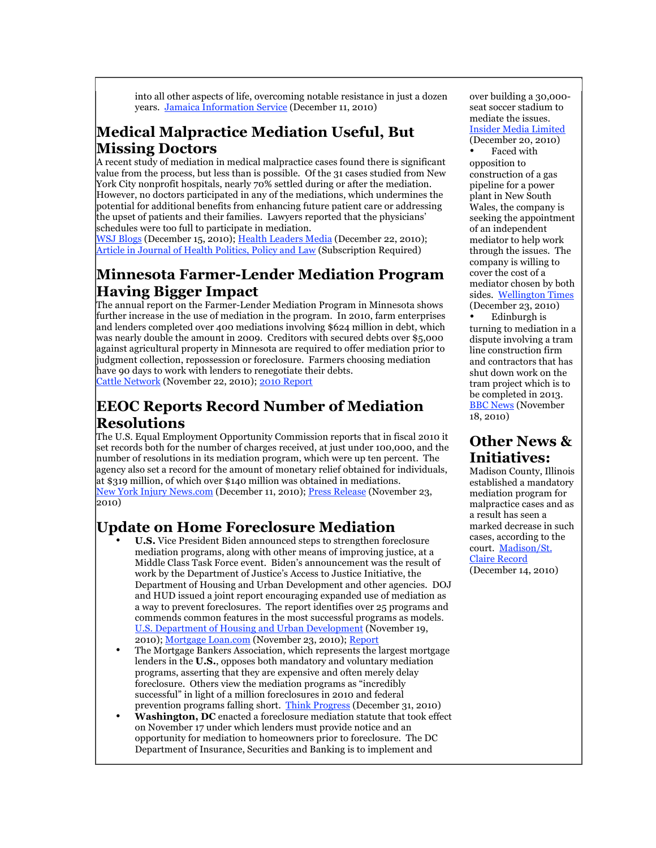into all other aspects of life, overcoming notable resistance in just a dozen years. Jamaica Information Service (December 11, 2010)

# **Medical Malpractice Mediation Useful, But Missing Doctors**

A recent study of mediation in medical malpractice cases found there is significant value from the process, but less than is possible. Of the 31 cases studied from New York City nonprofit hospitals, nearly 70% settled during or after the mediation. However, no doctors participated in any of the mediations, which undermines the potential for additional benefits from enhancing future patient care or addressing the upset of patients and their families. Lawyers reported that the physicians' schedules were too full to participate in mediation.

WSJ Blogs (December 15, 2010); Health Leaders Media (December 22, 2010); Article in Journal of Health Politics, Policy and Law (Subscription Required)

# **Minnesota Farmer-Lender Mediation Program Having Bigger Impact**

The annual report on the Farmer-Lender Mediation Program in Minnesota shows further increase in the use of mediation in the program. In 2010, farm enterprises and lenders completed over 400 mediations involving \$624 million in debt, which was nearly double the amount in 2009. Creditors with secured debts over \$5,000 against agricultural property in Minnesota are required to offer mediation prior to judgment collection, repossession or foreclosure. Farmers choosing mediation have 90 days to work with lenders to renegotiate their debts. Cattle Network (November 22, 2010); 2010 Report

# **EEOC Reports Record Number of Mediation Resolutions**

The U.S. Equal Employment Opportunity Commission reports that in fiscal 2010 it set records both for the number of charges received, at just under 100,000, and the number of resolutions in its mediation program, which were up ten percent. The agency also set a record for the amount of monetary relief obtained for individuals, at \$319 million, of which over \$140 million was obtained in mediations. New York Injury News.com (December 11, 2010); Press Release (November 23, 2010)

# **Update on Home Foreclosure Mediation**

- **U.S.** Vice President Biden announced steps to strengthen foreclosure mediation programs, along with other means of improving justice, at a Middle Class Task Force event. Biden's announcement was the result of work by the Department of Justice's Access to Justice Initiative, the Department of Housing and Urban Development and other agencies. DOJ and HUD issued a joint report encouraging expanded use of mediation as a way to prevent foreclosures. The report identifies over 25 programs and commends common features in the most successful programs as models. U.S. Department of Housing and Urban Development (November 19, 2010); Mortgage Loan.com (November 23, 2010); Report
- The Mortgage Bankers Association, which represents the largest mortgage lenders in the **U.S.**, opposes both mandatory and voluntary mediation programs, asserting that they are expensive and often merely delay foreclosure. Others view the mediation programs as "incredibly successful" in light of a million foreclosures in 2010 and federal prevention programs falling short. Think Progress (December 31, 2010)
- **Washington, DC** enacted a foreclosure mediation statute that took effect on November 17 under which lenders must provide notice and an opportunity for mediation to homeowners prior to foreclosure. The DC Department of Insurance, Securities and Banking is to implement and

over building a 30,000 seat soccer stadium to mediate the issues. Insider Media Limited (December 20, 2010)

Faced with opposition to construction of a gas pipeline for a power plant in New South Wales, the company is seeking the appointment of an independent mediator to help work through the issues. The company is willing to cover the cost of a mediator chosen by both sides. Wellington Times (December 23, 2010)

• Edinburgh is turning to mediation in a dispute involving a tram line construction firm and contractors that has shut down work on the tram project which is to be completed in 2013. **BBC News** (November 18, 2010)

# **Other News & Initiatives:**

Madison County, Illinois established a mandatory mediation program for malpractice cases and as a result has seen a marked decrease in such cases, according to the court. Madison/St. Claire Record (December 14, 2010)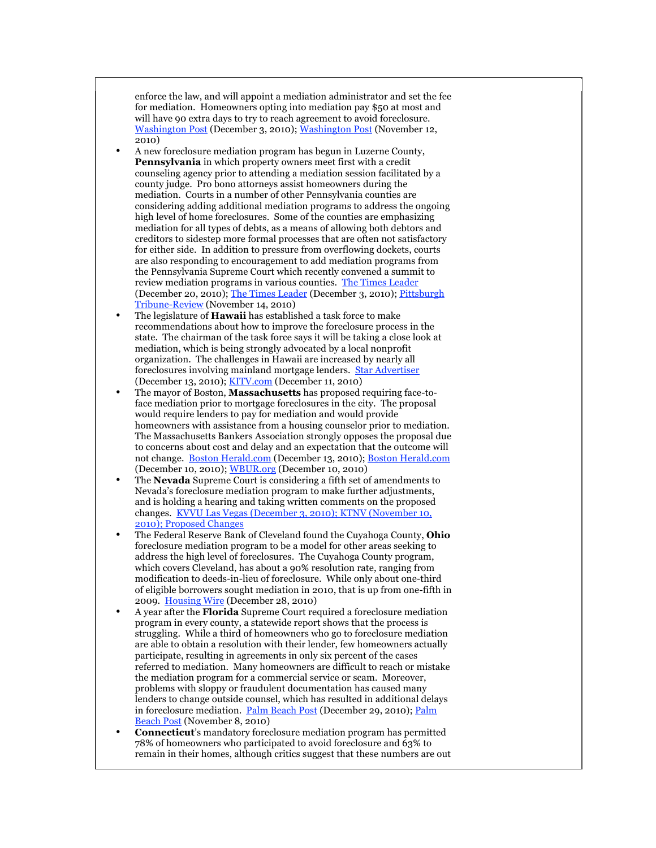enforce the law, and will appoint a mediation administrator and set the fee for mediation. Homeowners opting into mediation pay \$50 at most and will have 90 extra days to try to reach agreement to avoid foreclosure. Washington Post (December 3, 2010); Washington Post (November 12, 2010)

- A new foreclosure mediation program has begun in Luzerne County, **Pennsylvania** in which property owners meet first with a credit counseling agency prior to attending a mediation session facilitated by a county judge. Pro bono attorneys assist homeowners during the mediation. Courts in a number of other Pennsylvania counties are considering adding additional mediation programs to address the ongoing high level of home foreclosures. Some of the counties are emphasizing mediation for all types of debts, as a means of allowing both debtors and creditors to sidestep more formal processes that are often not satisfactory for either side. In addition to pressure from overflowing dockets, courts are also responding to encouragement to add mediation programs from the Pennsylvania Supreme Court which recently convened a summit to review mediation programs in various counties. The Times Leader (December 20, 2010); The Times Leader (December 3, 2010); Pittsburgh Tribune-Review (November 14, 2010)
- The legislature of **Hawaii** has established a task force to make recommendations about how to improve the foreclosure process in the state. The chairman of the task force says it will be taking a close look at mediation, which is being strongly advocated by a local nonprofit organization. The challenges in Hawaii are increased by nearly all foreclosures involving mainland mortgage lenders. Star Advertiser (December 13, 2010); KITV.com (December 11, 2010)
- The mayor of Boston, **Massachusetts** has proposed requiring face-toface mediation prior to mortgage foreclosures in the city. The proposal would require lenders to pay for mediation and would provide homeowners with assistance from a housing counselor prior to mediation. The Massachusetts Bankers Association strongly opposes the proposal due to concerns about cost and delay and an expectation that the outcome will not change. Boston Herald.com (December 13, 2010); Boston Herald.com (December 10, 2010); WBUR.org (December 10, 2010)
- The **Nevada** Supreme Court is considering a fifth set of amendments to Nevada's foreclosure mediation program to make further adjustments, and is holding a hearing and taking written comments on the proposed changes. KVVU Las Vegas (December 3, 2010); KTNV (November 10, 2010); Proposed Changes
- The Federal Reserve Bank of Cleveland found the Cuyahoga County, **Ohio** foreclosure mediation program to be a model for other areas seeking to address the high level of foreclosures. The Cuyahoga County program, which covers Cleveland, has about a 90% resolution rate, ranging from modification to deeds-in-lieu of foreclosure. While only about one-third of eligible borrowers sought mediation in 2010, that is up from one-fifth in 2009. Housing Wire (December 28, 2010)
- A year after the **Florida** Supreme Court required a foreclosure mediation program in every county, a statewide report shows that the process is struggling. While a third of homeowners who go to foreclosure mediation are able to obtain a resolution with their lender, few homeowners actually participate, resulting in agreements in only six percent of the cases referred to mediation. Many homeowners are difficult to reach or mistake the mediation program for a commercial service or scam. Moreover, problems with sloppy or fraudulent documentation has caused many lenders to change outside counsel, which has resulted in additional delays in foreclosure mediation. Palm Beach Post (December 29, 2010); Palm Beach Post (November 8, 2010)
- **Connecticut**'s mandatory foreclosure mediation program has permitted 78% of homeowners who participated to avoid foreclosure and 63% to remain in their homes, although critics suggest that these numbers are out